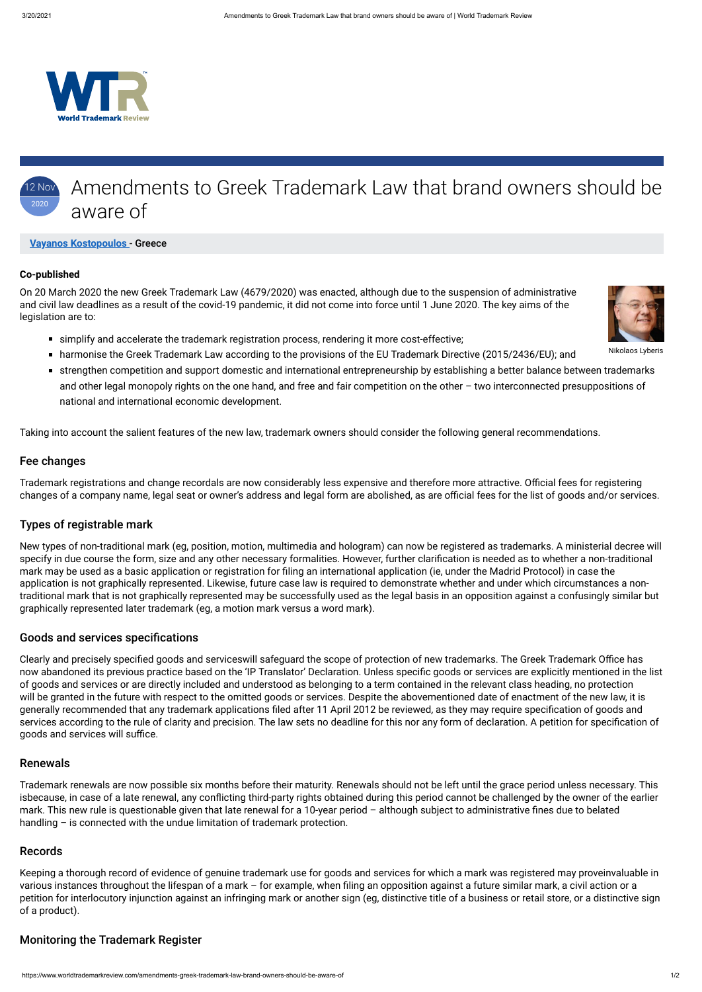

#### 2 Nov 2020 Amendments to Greek Trademark Law that brand owners should be aware of

Nikolaos Lyberis

### **[Vayanos Kostopoulos](http://www.vklaw.gr/)** - Greece

#### **Co-published**

On 20 March 2020 the new Greek Trademark Law (4679/2020) was enacted, although due to the suspension of administrative and civil law deadlines as a result of the covid-19 pandemic, it did not come into force until 1 June 2020. The key aims of the legislation are to:



- harmonise the Greek Trademark Law according to the provisions of the EU Trademark Directive (2015/2436/EU); and
- strengthen competition and support domestic and international entrepreneurship by establishing a better balance between trademarks and other legal monopoly rights on the one hand, and free and fair competition on the other – two interconnected presuppositions of national and international economic development.

Taking into account the salient features of the new law, trademark owners should consider the following general recommendations.

### Fee changes

Trademark registrations and change recordals are now considerably less expensive and therefore more attractive. Official fees for registering changes of a company name, legal seat or owner's address and legal form are abolished, as are official fees for the list of goods and/or services.

## Types of registrable mark

Trademark renewals are now possible six months before their maturity. Renewals should not be left until the grace period unless necessary. This isbecause, in case of a late renewal, any conflicting third-party rights obtained during this period cannot be challenged by the owner of the earlier mark. This new rule is questionable given that late renewal for a 10-year period  $-$  although subject to administrative fines due to belated handling – is connected with the undue limitation of trademark protection.

New types of non-traditional mark (eg, position, motion, multimedia and hologram) can now be registered as trademarks. A ministerial decree will specify in due course the form, size and any other necessary formalities. However, further clarification is needed as to whether a non-traditional mark may be used as a basic application or registration for filing an international application (ie, under the Madrid Protocol) in case the application is not graphically represented. Likewise, future case law is required to demonstrate whether and under which circumstances a nontraditional mark that is not graphically represented may be successfully used as the legal basis in an opposition against a confusingly similar but graphically represented later trademark (eg, a motion mark versus a word mark).

### Goods and services specifications

Clearly and precisely specified goods and serviceswill safeguard the scope of protection of new trademarks. The Greek Trademark Office has now abandoned its previous practice based on the 'IP Translator' Declaration. Unless specific goods or services are explicitly mentioned in the list of goods and services or are directly included and understood as belonging to a term contained in the relevant class heading, no protection will be granted in the future with respect to the omitted goods or services. Despite the abovementioned date of enactment of the new law, it is generally recommended that any trademark applications filed after 11 April 2012 be reviewed, as they may require specification of goods and services according to the rule of clarity and precision. The law sets no deadline for this nor any form of declaration. A petition for specification of goods and services will suffice.



# Renewals

## Records

Keeping a thorough record of evidence of genuine trademark use for goods and services for which a mark was registered may proveinvaluable in various instances throughout the lifespan of a mark – for example, when filing an opposition against a future similar mark, a civil action or a petition for interlocutory injunction against an infringing mark or another sign (eg, distinctive title of a business or retail store, or a distinctive sign of a product).

# Monitoring the Trademark Register